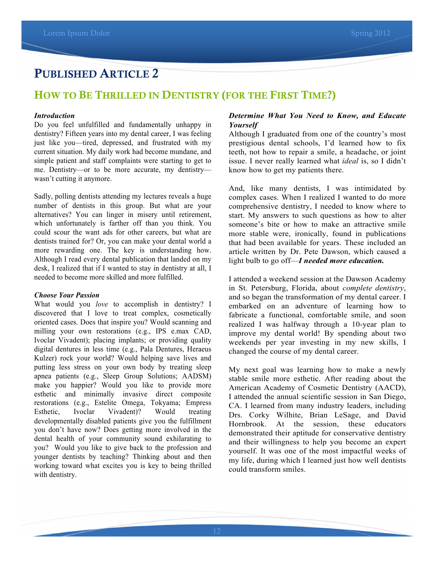# PUBLISHED ARTICLE 2

## HOW TO BE THRILLED IN DENTISTRY (FOR THE FIRST TIME?)

#### *Introduction*

Do you feel unfulfilled and fundamentally unhappy in dentistry? Fifteen years into my dental career, I was feeling just like you—tired, depressed, and frustrated with my current situation. My daily work had become mundane, and simple patient and staff complaints were starting to get to me. Dentistry—or to be more accurate, my dentistry wasn't cutting it anymore.

Sadly, polling dentists attending my lectures reveals a huge number of dentists in this group. But what are your alternatives? You can linger in misery until retirement, which unfortunately is farther off than you think. You could scour the want ads for other careers, but what are dentists trained for? Or, you can make your dental world a more rewarding one. The key is understanding how. Although I read every dental publication that landed on my desk, I realized that if I wanted to stay in dentistry at all, I needed to become more skilled and more fulfilled.

#### *Choose Your Passion*

What would you *love* to accomplish in dentistry? I discovered that I love to treat complex, cosmetically oriented cases. Does that inspire you? Would scanning and milling your own restorations (e.g., IPS e.max CAD, Ivoclar Vivadent); placing implants; or providing quality digital dentures in less time (e.g., Pala Dentures, Heraeus Kulzer) rock your world? Would helping save lives and putting less stress on your own body by treating sleep apnea patients (e.g., Sleep Group Solutions; AADSM) make you happier? Would you like to provide more esthetic and minimally invasive direct composite restorations (e.g., Estelite Omega, Tokyama; Empress Esthetic, Ivoclar Vivadent)? Would treating developmentally disabled patients give you the fulfillment you don't have now? Does getting more involved in the dental health of your community sound exhilarating to you? Would you like to give back to the profession and younger dentists by teaching? Thinking about and then working toward what excites you is key to being thrilled with dentistry.

### *Determine What You Need to Know, and Educate Yourself*

Although I graduated from one of the country's most prestigious dental schools, I'd learned how to fix teeth, not how to repair a smile, a headache, or joint issue. I never really learned what *ideal* is, so I didn't know how to get my patients there.

And, like many dentists, I was intimidated by complex cases. When I realized I wanted to do more comprehensive dentistry, I needed to know where to start. My answers to such questions as how to alter someone's bite or how to make an attractive smile more stable were, ironically, found in publications that had been available for years. These included an article written by Dr. Pete Dawson, which caused a light bulb to go off—*I needed more education.*

I attended a weekend session at the Dawson Academy in St. Petersburg, Florida, about *complete dentistry*, and so began the transformation of my dental career. I embarked on an adventure of learning how to fabricate a functional, comfortable smile, and soon realized I was halfway through a 10-year plan to improve my dental world! By spending about two weekends per year investing in my new skills, I changed the course of my dental career.

My next goal was learning how to make a newly stable smile more esthetic. After reading about the American Academy of Cosmetic Dentistry (AACD), I attended the annual scientific session in San Diego, CA. I learned from many industry leaders, including Drs. Corky Wilhite, Brian LeSage, and David Hornbrook. At the session, these educators demonstrated their aptitude for conservative dentistry and their willingness to help you become an expert yourself. It was one of the most impactful weeks of my life, during which I learned just how well dentists could transform smiles.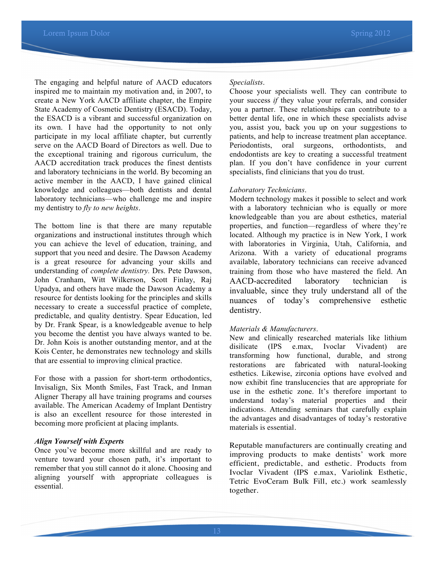The engaging and helpful nature of AACD educators inspired me to maintain my motivation and, in 2007, to create a New York AACD affiliate chapter, the Empire State Academy of Cosmetic Dentistry (ESACD). Today, the ESACD is a vibrant and successful organization on its own. I have had the opportunity to not only participate in my local affiliate chapter, but currently serve on the AACD Board of Directors as well. Due to the exceptional training and rigorous curriculum, the AACD accreditation track produces the finest dentists and laboratory technicians in the world. By becoming an active member in the AACD, I have gained clinical knowledge and colleagues—both dentists and dental laboratory technicians—who challenge me and inspire my dentistry to *fly to new heights*.

The bottom line is that there are many reputable organizations and instructional institutes through which you can achieve the level of education, training, and support that you need and desire. The Dawson Academy is a great resource for advancing your skills and understanding of *complete dentistry.* Drs. Pete Dawson, John Cranham, Witt Wilkerson, Scott Finlay, Raj Upadya, and others have made the Dawson Academy a resource for dentists looking for the principles and skills necessary to create a successful practice of complete, predictable, and quality dentistry. Spear Education, led by Dr. Frank Spear, is a knowledgeable avenue to help you become the dentist you have always wanted to be. Dr. John Kois is another outstanding mentor, and at the Kois Center, he demonstrates new technology and skills that are essential to improving clinical practice.

For those with a passion for short-term orthodontics, Invisalign, Six Month Smiles, Fast Track, and Inman Aligner Therapy all have training programs and courses available. The American Academy of Implant Dentistry is also an excellent resource for those interested in becoming more proficient at placing implants.

#### *Align Yourself with Experts*

Once you've become more skillful and are ready to venture toward your chosen path, it's important to remember that you still cannot do it alone. Choosing and aligning yourself with appropriate colleagues is essential.

#### *Specialists*.

Choose your specialists well. They can contribute to your success *if* they value your referrals, and consider you a partner. These relationships can contribute to a better dental life, one in which these specialists advise you, assist you, back you up on your suggestions to patients, and help to increase treatment plan acceptance. Periodontists, oral surgeons, orthodontists, and endodontists are key to creating a successful treatment plan. If you don't have confidence in your current specialists, find clinicians that you do trust.

#### *Laboratory Technicians*.

Modern technology makes it possible to select and work with a laboratory technician who is equally or more knowledgeable than you are about esthetics, material properties, and function—regardless of where they're located. Although my practice is in New York, I work with laboratories in Virginia, Utah, California, and Arizona. With a variety of educational programs available, laboratory technicians can receive advanced training from those who have mastered the field. An AACD-accredited laboratory technician is invaluable, since they truly understand all of the nuances of today's comprehensive esthetic dentistry.

### *Materials & Manufacturers*.

New and clinically researched materials like lithium disilicate (IPS e.max, Ivoclar Vivadent) are transforming how functional, durable, and strong restorations are fabricated with natural-looking esthetics. Likewise, zirconia options have evolved and now exhibit fine translucencies that are appropriate for use in the esthetic zone. It's therefore important to understand today's material properties and their indications. Attending seminars that carefully explain the advantages and disadvantages of today's restorative materials is essential.

Reputable manufacturers are continually creating and improving products to make dentists' work more efficient, predictable, and esthetic. Products from Ivoclar Vivadent (IPS e.max, Variolink Esthetic, Tetric EvoCeram Bulk Fill, etc.) work seamlessly together.